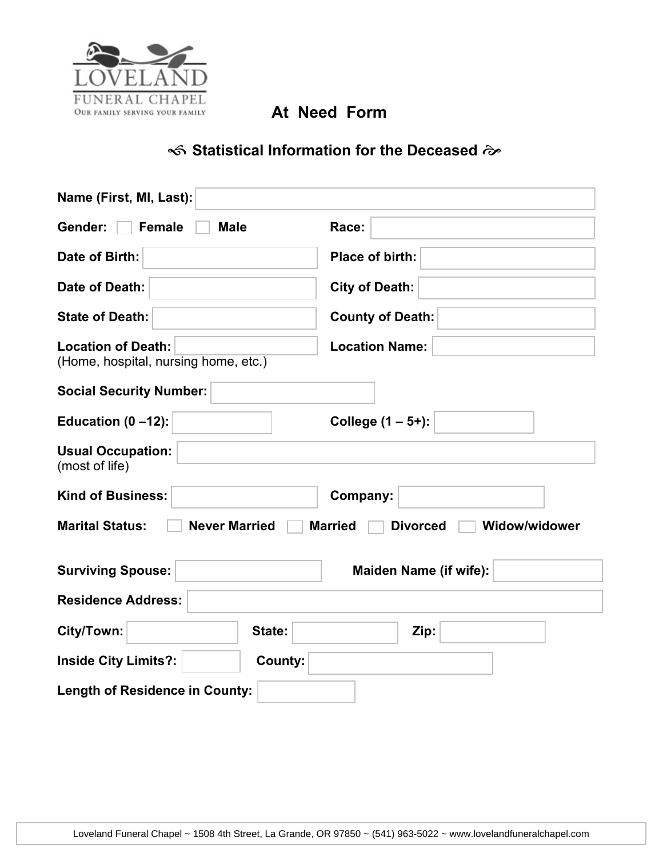

## $\ll$  Statistical Information for the Deceased  $\approx$

| Name (First, MI, Last):                                                                                     |                               |  |  |  |  |
|-------------------------------------------------------------------------------------------------------------|-------------------------------|--|--|--|--|
| Gender:<br><b>Female</b><br><b>Male</b>                                                                     | Race:                         |  |  |  |  |
| Date of Birth:                                                                                              | Place of birth:               |  |  |  |  |
| Date of Death:                                                                                              | <b>City of Death:</b>         |  |  |  |  |
| <b>State of Death:</b>                                                                                      | <b>County of Death:</b>       |  |  |  |  |
| <b>Location of Death:</b><br><b>Location Name:</b><br>(Home, hospital, nursing home, etc.)                  |                               |  |  |  |  |
| <b>Social Security Number:</b>                                                                              |                               |  |  |  |  |
| College (1 - 5+):<br>Education $(0 - 12)$ :                                                                 |                               |  |  |  |  |
| <b>Usual Occupation:</b><br>(most of life)                                                                  |                               |  |  |  |  |
| <b>Kind of Business:</b><br>Company:                                                                        |                               |  |  |  |  |
| <b>Marital Status:</b><br><b>Never Married</b><br><b>Married</b><br><b>Divorced</b><br><b>Widow/widower</b> |                               |  |  |  |  |
| <b>Surviving Spouse:</b>                                                                                    | <b>Maiden Name (if wife):</b> |  |  |  |  |
| <b>Residence Address:</b>                                                                                   |                               |  |  |  |  |
| City/Town:<br>State:                                                                                        | Zip:                          |  |  |  |  |
| <b>Inside City Limits?:</b><br><b>County:</b>                                                               |                               |  |  |  |  |
| <b>Length of Residence in County:</b>                                                                       |                               |  |  |  |  |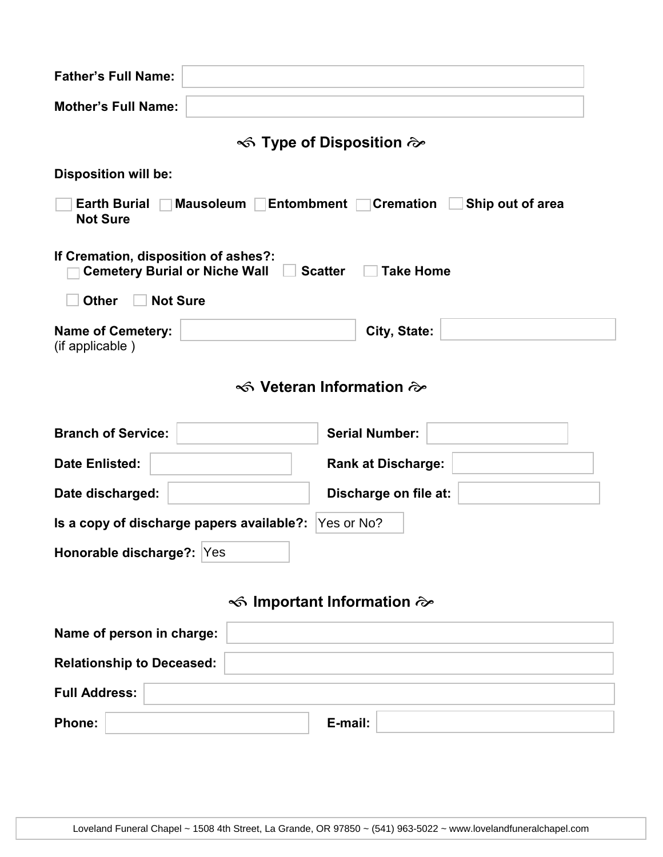| <b>Father's Full Name:</b>                                                                                              |                           |                       |  |  |  |
|-------------------------------------------------------------------------------------------------------------------------|---------------------------|-----------------------|--|--|--|
| <b>Mother's Full Name:</b>                                                                                              |                           |                       |  |  |  |
| $\ll$ Type of Disposition $\approx$                                                                                     |                           |                       |  |  |  |
| <b>Disposition will be:</b>                                                                                             |                           |                       |  |  |  |
| <b>Earth Burial</b><br>Mausoleum $\Box$<br><b>Entombment</b><br><b>Cremation</b><br>Ship out of area<br><b>Not Sure</b> |                           |                       |  |  |  |
| If Cremation, disposition of ashes?:<br><b>Cemetery Burial or Niche Wall</b><br><b>Take Home</b><br><b>Scatter</b>      |                           |                       |  |  |  |
| <b>Other</b><br><b>Not Sure</b>                                                                                         |                           |                       |  |  |  |
| <b>Name of Cemetery:</b><br>(if applicable)                                                                             |                           | City, State:          |  |  |  |
| S Veteran Information $\hat{\infty}$                                                                                    |                           |                       |  |  |  |
| <b>Branch of Service:</b>                                                                                               |                           | <b>Serial Number:</b> |  |  |  |
| <b>Date Enlisted:</b>                                                                                                   | <b>Rank at Discharge:</b> |                       |  |  |  |
| Date discharged:                                                                                                        | Discharge on file at:     |                       |  |  |  |
| Is a copy of discharge papers available?:<br>Yes or No?                                                                 |                           |                       |  |  |  |
| Honorable discharge?: Yes                                                                                               |                           |                       |  |  |  |
| <b>S</b> Important Information $\approx$                                                                                |                           |                       |  |  |  |
| Name of person in charge:                                                                                               |                           |                       |  |  |  |
| <b>Relationship to Deceased:</b>                                                                                        |                           |                       |  |  |  |
| <b>Full Address:</b>                                                                                                    |                           |                       |  |  |  |
| <b>Phone:</b>                                                                                                           |                           | E-mail:               |  |  |  |